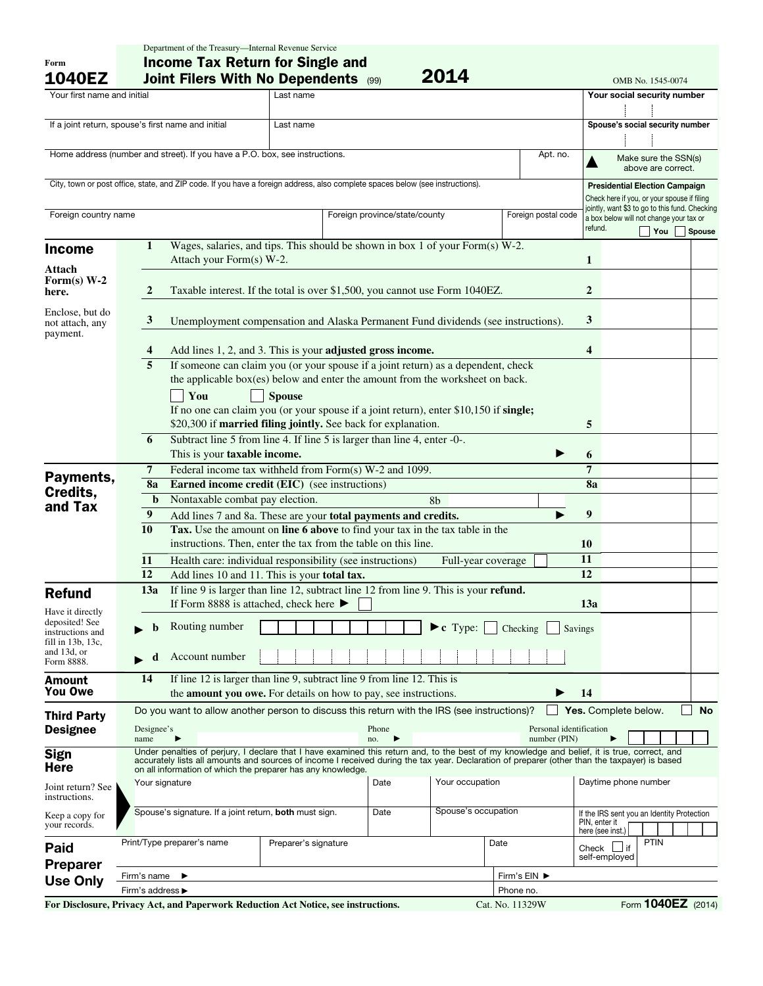| Form<br><b>1040EZ</b>              | <b>Income Tax Return for Single and</b><br>2014<br><b>Joint Filers With No Dependents (99)</b><br>OMB No. 1545-0074                                              |                                                                                                                                                                                                                                                                                               |               |  |                               |                 |                 |                     |               |                             |                                                                                           |               |  |
|------------------------------------|------------------------------------------------------------------------------------------------------------------------------------------------------------------|-----------------------------------------------------------------------------------------------------------------------------------------------------------------------------------------------------------------------------------------------------------------------------------------------|---------------|--|-------------------------------|-----------------|-----------------|---------------------|---------------|-----------------------------|-------------------------------------------------------------------------------------------|---------------|--|
| Your first name and initial        |                                                                                                                                                                  |                                                                                                                                                                                                                                                                                               | Last name     |  |                               |                 |                 |                     |               | Your social security number |                                                                                           |               |  |
|                                    |                                                                                                                                                                  |                                                                                                                                                                                                                                                                                               |               |  |                               |                 |                 |                     |               |                             |                                                                                           |               |  |
|                                    | If a joint return, spouse's first name and initial<br>Last name                                                                                                  |                                                                                                                                                                                                                                                                                               |               |  |                               |                 |                 |                     |               |                             | Spouse's social security number                                                           |               |  |
|                                    |                                                                                                                                                                  |                                                                                                                                                                                                                                                                                               |               |  |                               |                 |                 |                     |               |                             |                                                                                           |               |  |
|                                    |                                                                                                                                                                  | Home address (number and street). If you have a P.O. box, see instructions.                                                                                                                                                                                                                   |               |  |                               |                 |                 | Apt. no.            |               |                             |                                                                                           |               |  |
|                                    |                                                                                                                                                                  |                                                                                                                                                                                                                                                                                               |               |  |                               |                 |                 |                     |               |                             | Make sure the SSN(s)<br>above are correct.                                                |               |  |
|                                    |                                                                                                                                                                  | City, town or post office, state, and ZIP code. If you have a foreign address, also complete spaces below (see instructions).                                                                                                                                                                 |               |  |                               |                 |                 |                     |               |                             | <b>Presidential Election Campaign</b>                                                     |               |  |
|                                    |                                                                                                                                                                  |                                                                                                                                                                                                                                                                                               |               |  |                               |                 |                 |                     |               |                             | Check here if you, or your spouse if filing                                               |               |  |
| Foreign country name               |                                                                                                                                                                  |                                                                                                                                                                                                                                                                                               |               |  | Foreign province/state/county |                 |                 | Foreign postal code |               |                             | jointly, want \$3 to go to this fund. Checking<br>a box below will not change your tax or |               |  |
|                                    |                                                                                                                                                                  |                                                                                                                                                                                                                                                                                               |               |  |                               |                 |                 |                     | refund.       |                             | You                                                                                       | <b>Spouse</b> |  |
| <b>Income</b>                      | 1                                                                                                                                                                | Wages, salaries, and tips. This should be shown in box 1 of your Form(s) W-2.                                                                                                                                                                                                                 |               |  |                               |                 |                 |                     |               |                             |                                                                                           |               |  |
|                                    | Attach your Form(s) W-2.                                                                                                                                         |                                                                                                                                                                                                                                                                                               |               |  |                               |                 |                 |                     |               |                             |                                                                                           |               |  |
| Attach<br>Form(s) $W-2$            |                                                                                                                                                                  |                                                                                                                                                                                                                                                                                               |               |  |                               |                 |                 |                     |               |                             |                                                                                           |               |  |
| here.                              | $\boldsymbol{2}$<br>Taxable interest. If the total is over \$1,500, you cannot use Form 1040EZ.                                                                  |                                                                                                                                                                                                                                                                                               |               |  |                               |                 |                 |                     |               |                             |                                                                                           |               |  |
|                                    |                                                                                                                                                                  |                                                                                                                                                                                                                                                                                               |               |  |                               |                 |                 |                     |               |                             |                                                                                           |               |  |
| Enclose, but do<br>not attach, any | $\mathbf{3}$                                                                                                                                                     | Unemployment compensation and Alaska Permanent Fund dividends (see instructions).                                                                                                                                                                                                             |               |  |                               |                 |                 |                     |               |                             |                                                                                           |               |  |
| payment.                           |                                                                                                                                                                  |                                                                                                                                                                                                                                                                                               |               |  |                               |                 |                 |                     |               |                             |                                                                                           |               |  |
|                                    | 4                                                                                                                                                                | Add lines 1, 2, and 3. This is your adjusted gross income.                                                                                                                                                                                                                                    |               |  |                               |                 |                 |                     |               |                             |                                                                                           |               |  |
|                                    | 5                                                                                                                                                                | If someone can claim you (or your spouse if a joint return) as a dependent, check                                                                                                                                                                                                             |               |  |                               |                 |                 |                     |               |                             |                                                                                           |               |  |
|                                    |                                                                                                                                                                  | the applicable box(es) below and enter the amount from the worksheet on back.                                                                                                                                                                                                                 |               |  |                               |                 |                 |                     |               |                             |                                                                                           |               |  |
|                                    |                                                                                                                                                                  | You                                                                                                                                                                                                                                                                                           | <b>Spouse</b> |  |                               |                 |                 |                     |               |                             |                                                                                           |               |  |
|                                    |                                                                                                                                                                  | If no one can claim you (or your spouse if a joint return), enter \$10,150 if single;                                                                                                                                                                                                         |               |  |                               |                 |                 |                     |               |                             |                                                                                           |               |  |
|                                    |                                                                                                                                                                  | \$20,300 if married filing jointly. See back for explanation.                                                                                                                                                                                                                                 |               |  |                               |                 |                 |                     | 5             |                             |                                                                                           |               |  |
|                                    | 6                                                                                                                                                                | Subtract line 5 from line 4. If line 5 is larger than line 4, enter -0-.                                                                                                                                                                                                                      |               |  |                               |                 |                 |                     | 6             |                             |                                                                                           |               |  |
|                                    |                                                                                                                                                                  | This is your taxable income.                                                                                                                                                                                                                                                                  |               |  |                               |                 |                 |                     |               |                             |                                                                                           |               |  |
| Payments,                          |                                                                                                                                                                  | Federal income tax withheld from Form(s) W-2 and 1099.<br>7                                                                                                                                                                                                                                   |               |  |                               |                 |                 |                     |               |                             |                                                                                           |               |  |
| Credits,                           |                                                                                                                                                                  | 8a<br><b>Earned income credit (EIC)</b> (see instructions)                                                                                                                                                                                                                                    |               |  |                               |                 |                 |                     |               |                             |                                                                                           |               |  |
| and Tax                            |                                                                                                                                                                  | Nontaxable combat pay election.<br>$\mathbf b$<br>8b                                                                                                                                                                                                                                          |               |  |                               |                 |                 |                     |               |                             |                                                                                           |               |  |
|                                    |                                                                                                                                                                  | 9<br>Add lines 7 and 8a. These are your total payments and credits.<br>10                                                                                                                                                                                                                     |               |  |                               |                 |                 |                     |               |                             |                                                                                           |               |  |
|                                    | Tax. Use the amount on line 6 above to find your tax in the tax table in the<br>instructions. Then, enter the tax from the table on this line.                   |                                                                                                                                                                                                                                                                                               |               |  |                               |                 |                 |                     |               |                             |                                                                                           |               |  |
|                                    |                                                                                                                                                                  |                                                                                                                                                                                                                                                                                               |               |  |                               |                 |                 |                     |               |                             |                                                                                           |               |  |
|                                    |                                                                                                                                                                  | Health care: individual responsibility (see instructions)<br>11<br>Full-year coverage<br>12                                                                                                                                                                                                   |               |  |                               |                 |                 |                     |               |                             |                                                                                           |               |  |
|                                    | Add lines 10 and 11. This is your total tax.                                                                                                                     |                                                                                                                                                                                                                                                                                               |               |  |                               |                 |                 |                     | 12            |                             |                                                                                           |               |  |
| <b>Refund</b>                      | If line 9 is larger than line 12, subtract line 12 from line 9. This is your refund.<br>13a<br>If Form 8888 is attached, check here $\blacktriangleright$<br>13a |                                                                                                                                                                                                                                                                                               |               |  |                               |                 |                 |                     |               |                             |                                                                                           |               |  |
| Have it directly<br>deposited! See |                                                                                                                                                                  |                                                                                                                                                                                                                                                                                               |               |  |                               |                 |                 |                     |               |                             |                                                                                           |               |  |
| instructions and                   |                                                                                                                                                                  | Routing number<br>$\blacktriangleright$ c Type:<br>Checking<br>Savings                                                                                                                                                                                                                        |               |  |                               |                 |                 |                     |               |                             |                                                                                           |               |  |
| fill in 13b, 13c,<br>and 13d, or   |                                                                                                                                                                  |                                                                                                                                                                                                                                                                                               |               |  |                               |                 |                 |                     |               |                             |                                                                                           |               |  |
| Form 8888.                         | d                                                                                                                                                                | Account number                                                                                                                                                                                                                                                                                |               |  |                               |                 |                 |                     |               |                             |                                                                                           |               |  |
| <b>Amount</b>                      | 14                                                                                                                                                               | If line 12 is larger than line 9, subtract line 9 from line 12. This is                                                                                                                                                                                                                       |               |  |                               |                 |                 |                     |               |                             |                                                                                           |               |  |
| <b>You Owe</b>                     | the <b>amount you owe.</b> For details on how to pay, see instructions.                                                                                          |                                                                                                                                                                                                                                                                                               |               |  |                               |                 |                 |                     |               |                             |                                                                                           |               |  |
| <b>Third Party</b>                 | Do you want to allow another person to discuss this return with the IRS (see instructions)?                                                                      |                                                                                                                                                                                                                                                                                               |               |  |                               |                 |                 |                     |               |                             | Yes. Complete below.                                                                      | <b>No</b>     |  |
| <b>Designee</b>                    | Designee's<br>Personal identification<br>Phone                                                                                                                   |                                                                                                                                                                                                                                                                                               |               |  |                               |                 |                 |                     |               |                             |                                                                                           |               |  |
|                                    | number (PIN)<br>name<br>no.                                                                                                                                      |                                                                                                                                                                                                                                                                                               |               |  |                               |                 |                 |                     |               |                             |                                                                                           |               |  |
| <b>Sign</b>                        |                                                                                                                                                                  | Under penalties of perjury, I declare that I have examined this return and, to the best of my knowledge and belief, it is true, correct, and<br>accurately lists all amounts and sources of income I received during the tax year. Declaration of preparer (other than the taxpayer) is based |               |  |                               |                 |                 |                     |               |                             |                                                                                           |               |  |
| <b>Here</b>                        |                                                                                                                                                                  | on all information of which the preparer has any knowledge.                                                                                                                                                                                                                                   |               |  |                               |                 |                 |                     |               |                             |                                                                                           |               |  |
| Joint return? See                  | Your signature                                                                                                                                                   |                                                                                                                                                                                                                                                                                               |               |  | Date                          | Your occupation |                 |                     |               | Daytime phone number        |                                                                                           |               |  |
| instructions.                      |                                                                                                                                                                  |                                                                                                                                                                                                                                                                                               |               |  |                               |                 |                 |                     |               |                             |                                                                                           |               |  |
| Keep a copy for                    | Spouse's occupation<br>Spouse's signature. If a joint return, both must sign.<br>Date                                                                            |                                                                                                                                                                                                                                                                                               |               |  |                               |                 |                 |                     | PIN, enter it |                             | If the IRS sent you an Identity Protection                                                |               |  |
| your records.                      |                                                                                                                                                                  |                                                                                                                                                                                                                                                                                               |               |  |                               |                 |                 |                     |               | here (see inst.)            |                                                                                           |               |  |
| Paid                               |                                                                                                                                                                  | Print/Type preparer's name<br>Date<br>Preparer's signature                                                                                                                                                                                                                                    |               |  |                               |                 |                 |                     |               | Check $\Box$ if             | <b>PTIN</b>                                                                               |               |  |
| <b>Preparer</b>                    | self-employed                                                                                                                                                    |                                                                                                                                                                                                                                                                                               |               |  |                               |                 |                 |                     |               |                             |                                                                                           |               |  |
| <b>Use Only</b>                    | Firm's name                                                                                                                                                      | ▶                                                                                                                                                                                                                                                                                             |               |  |                               |                 | Firm's EIN ▶    |                     |               |                             |                                                                                           |               |  |
|                                    | Firm's address ▶<br>Phone no.                                                                                                                                    |                                                                                                                                                                                                                                                                                               |               |  |                               |                 |                 |                     |               |                             |                                                                                           |               |  |
|                                    |                                                                                                                                                                  | For Disclosure, Privacy Act, and Paperwork Reduction Act Notice, see instructions.                                                                                                                                                                                                            |               |  |                               |                 | Cat. No. 11329W |                     |               |                             | Form 1040EZ (2014)                                                                        |               |  |

Department of the Treasury—Internal Revenue Service